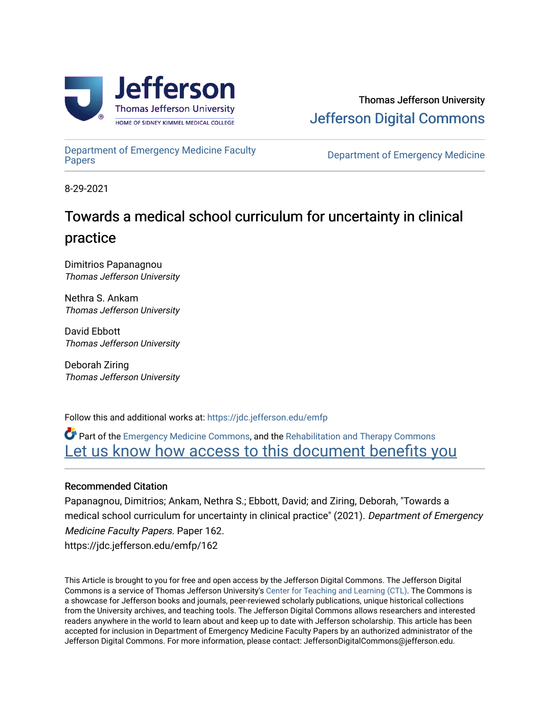

[Department of Emergency Medicine Faculty](https://jdc.jefferson.edu/emfp)

**Department of Emergency Medicine** 

8-29-2021

# Towards a medical school curriculum for uncertainty in clinical practice

Dimitrios Papanagnou Thomas Jefferson University

Nethra S. Ankam Thomas Jefferson University

David Ebbott Thomas Jefferson University

Deborah Ziring Thomas Jefferson University

Follow this and additional works at: [https://jdc.jefferson.edu/emfp](https://jdc.jefferson.edu/emfp?utm_source=jdc.jefferson.edu%2Femfp%2F162&utm_medium=PDF&utm_campaign=PDFCoverPages)

Part of the [Emergency Medicine Commons](http://network.bepress.com/hgg/discipline/685?utm_source=jdc.jefferson.edu%2Femfp%2F162&utm_medium=PDF&utm_campaign=PDFCoverPages), and the [Rehabilitation and Therapy Commons](http://network.bepress.com/hgg/discipline/749?utm_source=jdc.jefferson.edu%2Femfp%2F162&utm_medium=PDF&utm_campaign=PDFCoverPages) Let us know how access to this document benefits you

## Recommended Citation

Papanagnou, Dimitrios; Ankam, Nethra S.; Ebbott, David; and Ziring, Deborah, "Towards a medical school curriculum for uncertainty in clinical practice" (2021). Department of Emergency Medicine Faculty Papers. Paper 162. https://jdc.jefferson.edu/emfp/162

This Article is brought to you for free and open access by the Jefferson Digital Commons. The Jefferson Digital Commons is a service of Thomas Jefferson University's [Center for Teaching and Learning \(CTL\)](http://www.jefferson.edu/university/teaching-learning.html/). The Commons is a showcase for Jefferson books and journals, peer-reviewed scholarly publications, unique historical collections from the University archives, and teaching tools. The Jefferson Digital Commons allows researchers and interested readers anywhere in the world to learn about and keep up to date with Jefferson scholarship. This article has been accepted for inclusion in Department of Emergency Medicine Faculty Papers by an authorized administrator of the Jefferson Digital Commons. For more information, please contact: JeffersonDigitalCommons@jefferson.edu.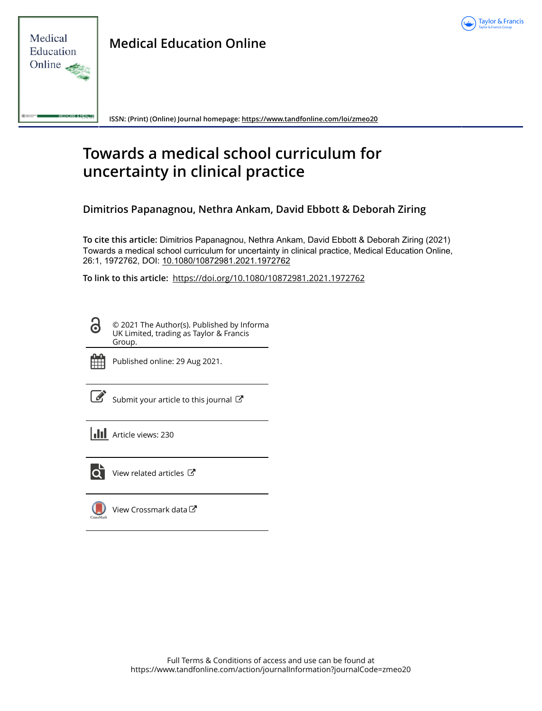



**Medical Education Online**

**ISSN: (Print) (Online) Journal homepage:<https://www.tandfonline.com/loi/zmeo20>**

# **Towards a medical school curriculum for uncertainty in clinical practice**

**Dimitrios Papanagnou, Nethra Ankam, David Ebbott & Deborah Ziring**

**To cite this article:** Dimitrios Papanagnou, Nethra Ankam, David Ebbott & Deborah Ziring (2021) Towards a medical school curriculum for uncertainty in clinical practice, Medical Education Online, 26:1, 1972762, DOI: [10.1080/10872981.2021.1972762](https://www.tandfonline.com/action/showCitFormats?doi=10.1080/10872981.2021.1972762)

**To link to this article:** <https://doi.org/10.1080/10872981.2021.1972762>

© 2021 The Author(s). Published by Informa UK Limited, trading as Taylor & Francis Group.



ര

Published online: 29 Aug 2021.

|--|

[Submit your article to this journal](https://www.tandfonline.com/action/authorSubmission?journalCode=zmeo20&show=instructions)  $\mathbb{Z}$ 

**III** Article views: 230



 $\overline{Q}$  [View related articles](https://www.tandfonline.com/doi/mlt/10.1080/10872981.2021.1972762)  $\overline{C}$ 

[View Crossmark data](http://crossmark.crossref.org/dialog/?doi=10.1080/10872981.2021.1972762&domain=pdf&date_stamp=2021-08-29) $\mathbb{Z}$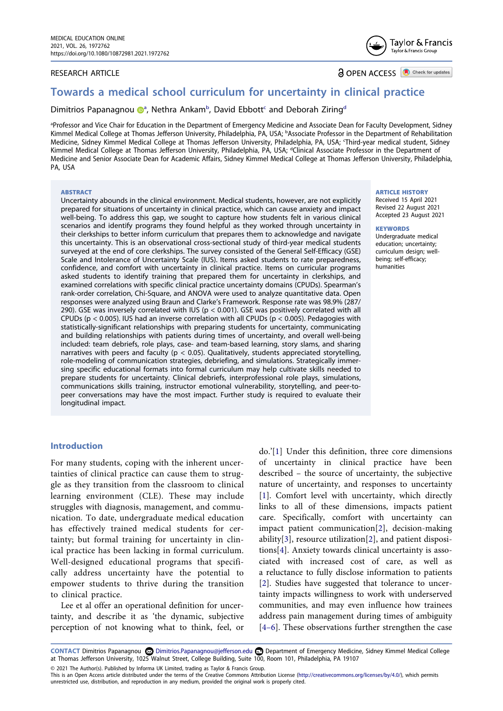#### RESEARCH ARTICLE

Taylor & Francis Taylor & Francis Group

**a** OPEN ACCESS **a** Check for updates

## **Towards a medical school curriculum for uncertainty in clinical practice**

Dimitrios Papanagno[u](http://orcid.org/0000-0003-3682-8371) @<sup>[a](#page-2-0)</sup>, Nethra Ankam<sup>[b](#page-2-1)</sup>, David Ebbott<sup>c</sup> and Deborah Ziring<sup>d</sup>

<span id="page-2-3"></span><span id="page-2-2"></span><span id="page-2-1"></span><span id="page-2-0"></span>a Professor and Vice Chair for Education in the Department of Emergency Medicine and Associate Dean for Faculty Development, Sidney Kimmel Medical College at Thomas Jefferson University, Philadelphia, PA, USA; b Associate Professor in the Department of Rehabilitation Medicine, Sidney Kimmel Medical College at Thomas Jefferson University, Philadelphia, PA, USA; c Third-year medical student, Sidney Kimmel Medical College at Thomas Jefferson University, Philadelphia, PA, USA; <sup>d</sup>Clinical Associate Professor in the Department of Medicine and Senior Associate Dean for Academic Affairs, Sidney Kimmel Medical College at Thomas Jefferson University, Philadelphia, PA, USA

#### **ABSTRACT**

Uncertainty abounds in the clinical environment. Medical students, however, are not explicitly prepared for situations of uncertainty in clinical practice, which can cause anxiety and impact well-being. To address this gap, we sought to capture how students felt in various clinical scenarios and identify programs they found helpful as they worked through uncertainty in their clerkships to better inform curriculum that prepares them to acknowledge and navigate this uncertainty. This is an observational cross-sectional study of third-year medical students surveyed at the end of core clerkships. The survey consisted of the General Self-Efficacy (GSE) Scale and Intolerance of Uncertainty Scale (IUS). Items asked students to rate preparedness, confidence, and comfort with uncertainty in clinical practice. Items on curricular programs asked students to identify training that prepared them for uncertainty in clerkships, and examined correlations with specific clinical practice uncertainty domains (CPUDs). Spearman's rank-order correlation, Chi-Square, and ANOVA were used to analyze quantitative data. Open responses were analyzed using Braun and Clarke's Framework. Response rate was 98.9% (287/ 290). GSE was inversely correlated with IUS (p < 0.001). GSE was positively correlated with all CPUDs ( $p < 0.005$ ). IUS had an inverse correlation with all CPUDs ( $p < 0.005$ ). Pedagogies with statistically-significant relationships with preparing students for uncertainty, communicating and building relationships with patients during times of uncertainty, and overall well-being included: team debriefs, role plays, case- and team-based learning, story slams, and sharing narratives with peers and faculty ( $p < 0.05$ ). Qualitatively, students appreciated storytelling, role-modeling of communication strategies, debriefing, and simulations. Strategically immersing specific educational formats into formal curriculum may help cultivate skills needed to prepare students for uncertainty. Clinical debriefs, interprofessional role plays, simulations, communications skills training, instructor emotional vulnerability, storytelling, and peer-topeer conversations may have the most impact. Further study is required to evaluate their longitudinal impact.

#### **ARTICLE HISTORY**

Received 15 April 2021 Revised 22 August 2021 Accepted 23 August 2021

#### **KEYWORDS**

Undergraduate medical education; uncertainty; curriculum design; wellbeing; self-efficacy; humanities

## **Introduction**

For many students, coping with the inherent uncertainties of clinical practice can cause them to struggle as they transition from the classroom to clinical learning environment (CLE). These may include struggles with diagnosis, management, and communication. To date, undergraduate medical education has effectively trained medical students for certainty; but formal training for uncertainty in clinical practice has been lacking in formal curriculum. Well-designed educational programs that specifically address uncertainty have the potential to empower students to thrive during the transition to clinical practice.

Lee et al offer an operational definition for uncertainty, and describe it as 'the dynamic, subjective perception of not knowing what to think, feel, or

<span id="page-2-7"></span><span id="page-2-6"></span><span id="page-2-5"></span><span id="page-2-4"></span>do.'[[1\]](#page-9-0) Under this definition, three core dimensions of uncertainty in clinical practice have been described – the source of uncertainty, the subjective nature of uncertainty, and responses to uncertainty [\[1](#page-9-0)]. Comfort level with uncertainty, which directly links to all of these dimensions, impacts patient care. Specifically, comfort with uncertainty can impact patient communication[[2\]](#page-9-1), decision-making ability[[3\]](#page-9-2), resource utilization[\[2](#page-9-1)], and patient dispositions[\[4](#page-9-3)]. Anxiety towards clinical uncertainty is associated with increased cost of care, as well as a reluctance to fully disclose information to patients [\[2](#page-9-1)]. Studies have suggested that tolerance to uncertainty impacts willingness to work with underserved communities, and may even influence how trainees address pain management during times of ambiguity [\[4–6\]](#page-9-3). These observations further strengthen the case

**CONTACT** Dimitrios Papanagnou Dimitrios.Papanagnou@jefferson.edu Department of Emergency Medicine, Sidney Kimmel Medical College at Thomas Jefferson University, 1025 Walnut Street, College Building, Suite 100, Room 101, Philadelphia, PA 19107

© 2021 The Author(s). Published by Informa UK Limited, trading as Taylor & Francis Group.

This is an Open Access article distributed under the terms of the Creative Commons Attribution License (http://creativecommons.org/licenses/by/4.0/), which permits unrestricted use, distribution, and reproduction in any medium, provided the original work is properly cited.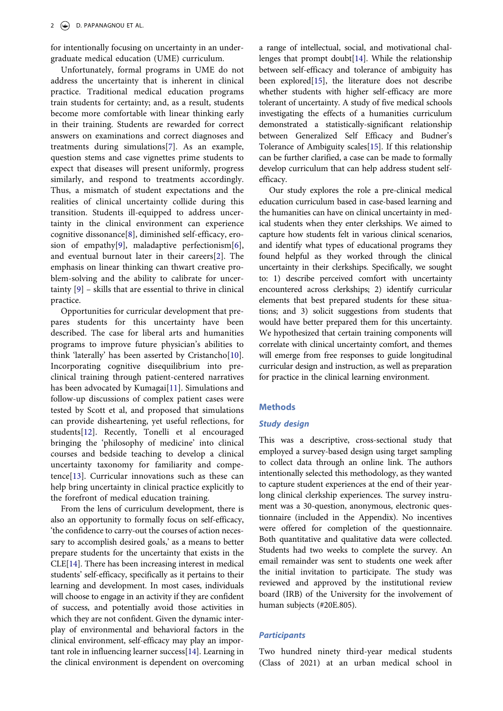for intentionally focusing on uncertainty in an undergraduate medical education (UME) curriculum.

<span id="page-3-1"></span>Unfortunately, formal programs in UME do not address the uncertainty that is inherent in clinical practice. Traditional medical education programs train students for certainty; and, as a result, students become more comfortable with linear thinking early in their training. Students are rewarded for correct answers on examinations and correct diagnoses and treatments during simulations[\[7](#page-9-4)]. As an example, question stems and case vignettes prime students to expect that diseases will present uniformly, progress similarly, and respond to treatments accordingly. Thus, a mismatch of student expectations and the realities of clinical uncertainty collide during this transition. Students ill-equipped to address uncertainty in the clinical environment can experience cognitive dissonance[[8\]](#page-9-5), diminished self-efficacy, erosion of empathy[[9\]](#page-9-6), maladaptive perfectionism[[6\]](#page-9-7), and eventual burnout later in their careers[\[2](#page-9-1)]. The emphasis on linear thinking can thwart creative problem-solving and the ability to calibrate for uncertainty [[9\]](#page-9-6) – skills that are essential to thrive in clinical practice.

<span id="page-3-5"></span><span id="page-3-4"></span><span id="page-3-3"></span><span id="page-3-2"></span><span id="page-3-0"></span>Opportunities for curricular development that prepares students for this uncertainty have been described. The case for liberal arts and humanities programs to improve future physician's abilities to think 'laterally' has been asserted by Cristancho[[10\]](#page-9-8). Incorporating cognitive disequilibrium into preclinical training through patient-centered narratives has been advocated by Kumagai[[11\]](#page-9-9). Simulations and follow-up discussions of complex patient cases were tested by Scott et al, and proposed that simulations can provide disheartening, yet useful reflections, for students[\[12](#page-9-10)]. Recently, Tonelli et al encouraged bringing the 'philosophy of medicine' into clinical courses and bedside teaching to develop a clinical uncertainty taxonomy for familiarity and competence[[13\]](#page-9-11). Curricular innovations such as these can help bring uncertainty in clinical practice explicitly to the forefront of medical education training.

<span id="page-3-7"></span><span id="page-3-6"></span>From the lens of curriculum development, there is also an opportunity to formally focus on self-efficacy, 'the confidence to carry-out the courses of action necessary to accomplish desired goals,' as a means to better prepare students for the uncertainty that exists in the CLE[[14\]](#page-9-12). There has been increasing interest in medical students' self-efficacy, specifically as it pertains to their learning and development. In most cases, individuals will choose to engage in an activity if they are confident of success, and potentially avoid those activities in which they are not confident. Given the dynamic interplay of environmental and behavioral factors in the clinical environment, self-efficacy may play an important role in influencing learner success[\[14](#page-9-12)]. Learning in the clinical environment is dependent on overcoming <span id="page-3-8"></span>a range of intellectual, social, and motivational challenges that prompt doubt[\[14\]](#page-9-12). While the relationship between self-efficacy and tolerance of ambiguity has been explored[[15\]](#page-9-13), the literature does not describe whether students with higher self-efficacy are more tolerant of uncertainty. A study of five medical schools investigating the effects of a humanities curriculum demonstrated a statistically-significant relationship between Generalized Self Efficacy and Budner's Tolerance of Ambiguity scales[\[15\]](#page-9-13). If this relationship can be further clarified, a case can be made to formally develop curriculum that can help address student selfefficacy.

<span id="page-3-9"></span>Our study explores the role a pre-clinical medical education curriculum based in case-based learning and the humanities can have on clinical uncertainty in medical students when they enter clerkships. We aimed to capture how students felt in various clinical scenarios, and identify what types of educational programs they found helpful as they worked through the clinical uncertainty in their clerkships. Specifically, we sought to: 1) describe perceived comfort with uncertainty encountered across clerkships; 2) identify curricular elements that best prepared students for these situations; and 3) solicit suggestions from students that would have better prepared them for this uncertainty. We hypothesized that certain training components will correlate with clinical uncertainty comfort, and themes will emerge from free responses to guide longitudinal curricular design and instruction, as well as preparation for practice in the clinical learning environment.

## **Methods**

#### *Study design*

This was a descriptive, cross-sectional study that employed a survey-based design using target sampling to collect data through an online link. The authors intentionally selected this methodology, as they wanted to capture student experiences at the end of their yearlong clinical clerkship experiences. The survey instrument was a 30-question, anonymous, electronic questionnaire (included in the Appendix). No incentives were offered for completion of the questionnaire. Both quantitative and qualitative data were collected. Students had two weeks to complete the survey. An email remainder was sent to students one week after the initial invitation to participate. The study was reviewed and approved by the institutional review board (IRB) of the University for the involvement of human subjects (#20E.805).

## *Participants*

Two hundred ninety third-year medical students (Class of 2021) at an urban medical school in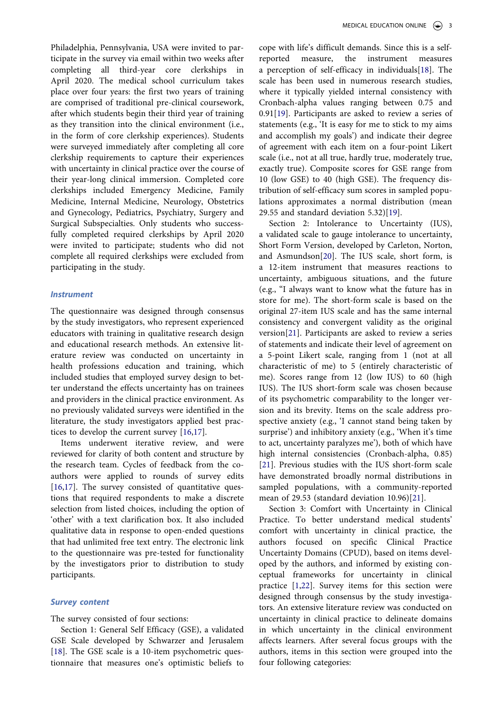Philadelphia, Pennsylvania, USA were invited to participate in the survey via email within two weeks after completing all third-year core clerkships in April 2020. The medical school curriculum takes place over four years: the first two years of training are comprised of traditional pre-clinical coursework, after which students begin their third year of training as they transition into the clinical environment (i.e., in the form of core clerkship experiences). Students were surveyed immediately after completing all core clerkship requirements to capture their experiences with uncertainty in clinical practice over the course of their year-long clinical immersion. Completed core clerkships included Emergency Medicine, Family Medicine, Internal Medicine, Neurology, Obstetrics and Gynecology, Pediatrics, Psychiatry, Surgery and Surgical Subspecialties. Only students who successfully completed required clerkships by April 2020 were invited to participate; students who did not complete all required clerkships were excluded from participating in the study.

### *Instrument*

The questionnaire was designed through consensus by the study investigators, who represent experienced educators with training in qualitative research design and educational research methods. An extensive literature review was conducted on uncertainty in health professions education and training, which included studies that employed survey design to better understand the effects uncertainty has on trainees and providers in the clinical practice environment. As no previously validated surveys were identified in the literature, the study investigators applied best practices to develop the current survey [[16,](#page-9-14)[17](#page-9-15)].

<span id="page-4-0"></span>Items underwent iterative review, and were reviewed for clarity of both content and structure by the research team. Cycles of feedback from the coauthors were applied to rounds of survey edits [[16,](#page-9-14)[17](#page-9-15)]. The survey consisted of quantitative questions that required respondents to make a discrete selection from listed choices, including the option of 'other' with a text clarification box. It also included qualitative data in response to open-ended questions that had unlimited free text entry. The electronic link to the questionnaire was pre-tested for functionality by the investigators prior to distribution to study participants.

#### *Survey content*

The survey consisted of four sections:

Section 1: General Self Efficacy (GSE), a validated GSE Scale developed by Schwarzer and Jerusalem [[18\]](#page-9-16). The GSE scale is a 10-item psychometric questionnaire that measures one's optimistic beliefs to

<span id="page-4-1"></span>cope with life's difficult demands. Since this is a selfreported measure, the instrument measures a perception of self-efficacy in individuals[[18\]](#page-9-16). The scale has been used in numerous research studies, where it typically yielded internal consistency with Cronbach-alpha values ranging between 0.75 and 0.91[[19\]](#page-9-17). Participants are asked to review a series of statements (e.g., 'It is easy for me to stick to my aims and accomplish my goals') and indicate their degree of agreement with each item on a four-point Likert scale (i.e., not at all true, hardly true, moderately true, exactly true). Composite scores for GSE range from 10 (low GSE) to 40 (high GSE). The frequency distribution of self-efficacy sum scores in sampled populations approximates a normal distribution (mean 29.55 and standard deviation 5.32)[\[19](#page-9-17)].

<span id="page-4-3"></span><span id="page-4-2"></span>Section 2: Intolerance to Uncertainty (IUS), a validated scale to gauge intolerance to uncertainty, Short Form Version, developed by Carleton, Norton, and Asmundson[[20\]](#page-9-18). The IUS scale, short form, is a 12-item instrument that measures reactions to uncertainty, ambiguous situations, and the future (e.g., "I always want to know what the future has in store for me). The short-form scale is based on the original 27-item IUS scale and has the same internal consistency and convergent validity as the original version[\[21](#page-9-19)]. Participants are asked to review a series of statements and indicate their level of agreement on a 5-point Likert scale, ranging from 1 (not at all characteristic of me) to 5 (entirely characteristic of me). Scores range from 12 (low IUS) to 60 (high IUS). The IUS short-form scale was chosen because of its psychometric comparability to the longer version and its brevity. Items on the scale address prospective anxiety (e.g., 'I cannot stand being taken by surprise') and inhibitory anxiety (e.g., 'When it's time to act, uncertainty paralyzes me'), both of which have high internal consistencies (Cronbach-alpha, 0.85) [\[21](#page-9-19)]. Previous studies with the IUS short-form scale have demonstrated broadly normal distributions in sampled populations, with a community-reported mean of 29.53 (standard deviation 10.96)[\[21](#page-9-19)].

<span id="page-4-5"></span><span id="page-4-4"></span>Section 3: Comfort with Uncertainty in Clinical Practice. To better understand medical students' comfort with uncertainty in clinical practice, the authors focused on specific Clinical Practice Uncertainty Domains (CPUD), based on items developed by the authors, and informed by existing conceptual frameworks for uncertainty in clinical practice [\[1](#page-9-0),[22\]](#page-9-20). Survey items for this section were designed through consensus by the study investigators. An extensive literature review was conducted on uncertainty in clinical practice to delineate domains in which uncertainty in the clinical environment affects learners. After several focus groups with the authors, items in this section were grouped into the four following categories: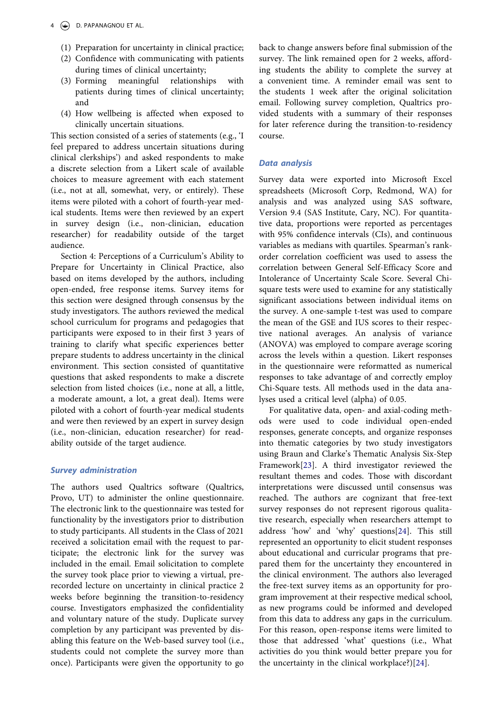- (1) Preparation for uncertainty in clinical practice;
- (2) Confidence with communicating with patients during times of clinical uncertainty;
- (3) Forming meaningful relationships with patients during times of clinical uncertainty; and
- (4) How wellbeing is affected when exposed to clinically uncertain situations.

This section consisted of a series of statements (e.g., 'I feel prepared to address uncertain situations during clinical clerkships') and asked respondents to make a discrete selection from a Likert scale of available choices to measure agreement with each statement (i.e., not at all, somewhat, very, or entirely). These items were piloted with a cohort of fourth-year medical students. Items were then reviewed by an expert in survey design (i.e., non-clinician, education researcher) for readability outside of the target audience.

Section 4: Perceptions of a Curriculum's Ability to Prepare for Uncertainty in Clinical Practice, also based on items developed by the authors, including open-ended, free response items. Survey items for this section were designed through consensus by the study investigators. The authors reviewed the medical school curriculum for programs and pedagogies that participants were exposed to in their first 3 years of training to clarify what specific experiences better prepare students to address uncertainty in the clinical environment. This section consisted of quantitative questions that asked respondents to make a discrete selection from listed choices (i.e., none at all, a little, a moderate amount, a lot, a great deal). Items were piloted with a cohort of fourth-year medical students and were then reviewed by an expert in survey design (i.e., non-clinician, education researcher) for readability outside of the target audience.

#### *Survey administration*

The authors used Qualtrics software (Qualtrics, Provo, UT) to administer the online questionnaire. The electronic link to the questionnaire was tested for functionality by the investigators prior to distribution to study participants. All students in the Class of 2021 received a solicitation email with the request to participate; the electronic link for the survey was included in the email. Email solicitation to complete the survey took place prior to viewing a virtual, prerecorded lecture on uncertainty in clinical practice 2 weeks before beginning the transition-to-residency course. Investigators emphasized the confidentiality and voluntary nature of the study. Duplicate survey completion by any participant was prevented by disabling this feature on the Web-based survey tool (i.e., students could not complete the survey more than once). Participants were given the opportunity to go

back to change answers before final submission of the survey. The link remained open for 2 weeks, affording students the ability to complete the survey at a convenient time. A reminder email was sent to the students 1 week after the original solicitation email. Following survey completion, Qualtrics provided students with a summary of their responses for later reference during the transition-to-residency course.

#### *Data analysis*

Survey data were exported into Microsoft Excel spreadsheets (Microsoft Corp, Redmond, WA) for analysis and was analyzed using SAS software, Version 9.4 (SAS Institute, Cary, NC). For quantitative data, proportions were reported as percentages with 95% confidence intervals (CIs), and continuous variables as medians with quartiles. Spearman's rankorder correlation coefficient was used to assess the correlation between General Self-Efficacy Score and Intolerance of Uncertainty Scale Score. Several Chisquare tests were used to examine for any statistically significant associations between individual items on the survey. A one-sample t-test was used to compare the mean of the GSE and IUS scores to their respective national averages. An analysis of variance (ANOVA) was employed to compare average scoring across the levels within a question. Likert responses in the questionnaire were reformatted as numerical responses to take advantage of and correctly employ Chi-Square tests. All methods used in the data analyses used a critical level (alpha) of 0.05.

<span id="page-5-1"></span><span id="page-5-0"></span>For qualitative data, open- and axial-coding methods were used to code individual open-ended responses, generate concepts, and organize responses into thematic categories by two study investigators using Braun and Clarke's Thematic Analysis Six-Step Framework[\[23](#page-9-21)]. A third investigator reviewed the resultant themes and codes. Those with discordant interpretations were discussed until consensus was reached. The authors are cognizant that free-text survey responses do not represent rigorous qualitative research, especially when researchers attempt to address 'how' and 'why' questions[\[24](#page-9-22)]. This still represented an opportunity to elicit student responses about educational and curricular programs that prepared them for the uncertainty they encountered in the clinical environment. The authors also leveraged the free-text survey items as an opportunity for program improvement at their respective medical school, as new programs could be informed and developed from this data to address any gaps in the curriculum. For this reason, open-response items were limited to those that addressed 'what' questions (i.e., What activities do you think would better prepare you for the uncertainty in the clinical workplace?)[\[24](#page-9-22)].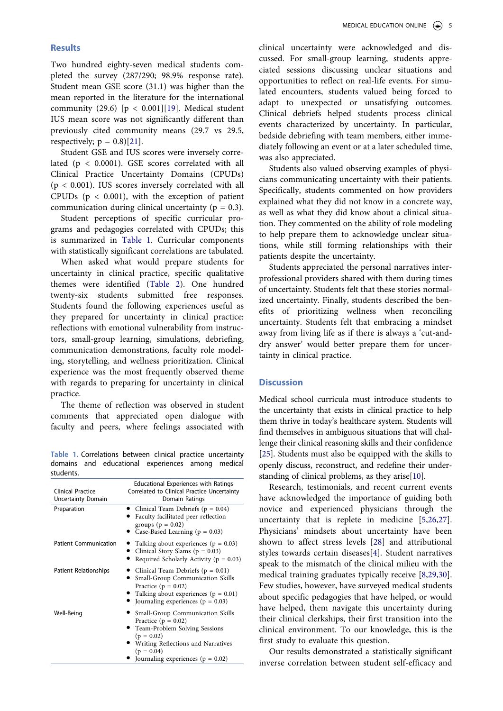## **Results**

Two hundred eighty-seven medical students completed the survey (287/290; 98.9% response rate). Student mean GSE score (31.1) was higher than the mean reported in the literature for the international community (29.6)  $[p < 0.001][19]$  $[p < 0.001][19]$ . Medical student IUS mean score was not significantly different than previously cited community means (29.7 vs 29.5, respectively;  $p = 0.8$ [[21\]](#page-9-19).

Student GSE and IUS scores were inversely correlated (p < 0.0001). GSE scores correlated with all Clinical Practice Uncertainty Domains (CPUDs) (p < 0.001). IUS scores inversely correlated with all CPUDs ( $p < 0.001$ ), with the exception of patient communication during clinical uncertainty ( $p = 0.3$ ).

Student perceptions of specific curricular programs and pedagogies correlated with CPUDs; this is summarized in [Table 1](#page-6-0). Curricular components with statistically significant correlations are tabulated.

When asked what would prepare students for uncertainty in clinical practice, specific qualitative themes were identified ([Table 2](#page-7-0)). One hundred twenty-six students submitted free responses. Students found the following experiences useful as they prepared for uncertainty in clinical practice: reflections with emotional vulnerability from instructors, small-group learning, simulations, debriefing, communication demonstrations, faculty role modeling, storytelling, and wellness prioritization. Clinical experience was the most frequently observed theme with regards to preparing for uncertainty in clinical practice.

The theme of reflection was observed in student comments that appreciated open dialogue with faculty and peers, where feelings associated with

<span id="page-6-0"></span>**Table 1.** Correlations between clinical practice uncertainty domains and educational experiences among medical students.

| ,,,,,,,,,,                              |                                                                                                                                                                                                                     |  |  |  |
|-----------------------------------------|---------------------------------------------------------------------------------------------------------------------------------------------------------------------------------------------------------------------|--|--|--|
| Clinical Practice<br>Uncertainty Domain | Educational Experiences with Ratings<br>Correlated to Clinical Practice Uncertainty<br>Domain Ratings                                                                                                               |  |  |  |
| Preparation                             | • Clinical Team Debriefs ( $p = 0.04$ )<br>Faculty facilitated peer reflection<br>groups ( $p = 0.02$ )<br>• Case-Based Learning ( $p = 0.03$ )                                                                     |  |  |  |
| <b>Patient Communication</b>            | Talking about experiences ( $p = 0.03$ )<br>Clinical Story Slams ( $p = 0.03$ )<br>Required Scholarly Activity ( $p = 0.03$ )                                                                                       |  |  |  |
| Patient Relationships                   | • Clinical Team Debriefs ( $p = 0.01$ )<br><b>Small-Group Communication Skills</b><br>Practice ( $p = 0.02$ )<br>• Talking about experiences ( $p = 0.01$ )<br>• Journaling experiences ( $p = 0.03$ )              |  |  |  |
| Well-Being                              | • Small-Group Communication Skills<br>Practice ( $p = 0.02$ )<br>• Team-Problem Solving Sessions<br>$(p = 0.02)$<br>• Writing Reflections and Narratives<br>$(p = 0.04)$<br>• Journaling experiences ( $p = 0.02$ ) |  |  |  |

clinical uncertainty were acknowledged and discussed. For small-group learning, students appreciated sessions discussing unclear situations and opportunities to reflect on real-life events. For simulated encounters, students valued being forced to adapt to unexpected or unsatisfying outcomes. Clinical debriefs helped students process clinical events characterized by uncertainty. In particular, bedside debriefing with team members, either immediately following an event or at a later scheduled time, was also appreciated.

Students also valued observing examples of physicians communicating uncertainty with their patients. Specifically, students commented on how providers explained what they did not know in a concrete way, as well as what they did know about a clinical situation. They commented on the ability of role modeling to help prepare them to acknowledge unclear situations, while still forming relationships with their patients despite the uncertainty.

Students appreciated the personal narratives interprofessional providers shared with them during times of uncertainty. Students felt that these stories normalized uncertainty. Finally, students described the benefits of prioritizing wellness when reconciling uncertainty. Students felt that embracing a mindset away from living life as if there is always a 'cut-anddry answer' would better prepare them for uncertainty in clinical practice.

## **Discussion**

Medical school curricula must introduce students to the uncertainty that exists in clinical practice to help them thrive in today's healthcare system. Students will find themselves in ambiguous situations that will challenge their clinical reasoning skills and their confidence [\[25](#page-9-23)]. Students must also be equipped with the skills to openly discuss, reconstruct, and redefine their under-standing of clinical problems, as they arise[\[10](#page-9-8)].

<span id="page-6-3"></span><span id="page-6-2"></span><span id="page-6-1"></span>Research, testimonials, and recent current events have acknowledged the importance of guiding both novice and experienced physicians through the uncertainty that is replete in medicine [\[5](#page-9-24),[26,](#page-9-25)[27](#page-9-26)]. Physicians' mindsets about uncertainty have been shown to affect stress levels [\[28](#page-10-0)] and attributional styles towards certain diseases[\[4\]](#page-9-3). Student narratives speak to the mismatch of the clinical milieu with the medical training graduates typically receive [\[8](#page-9-5),[29,](#page-10-1)[30](#page-10-2)]. Few studies, however, have surveyed medical students about specific pedagogies that have helped, or would have helped, them navigate this uncertainty during their clinical clerkships, their first transition into the clinical environment. To our knowledge, this is the first study to evaluate this question.

<span id="page-6-4"></span>Our results demonstrated a statistically significant inverse correlation between student self-efficacy and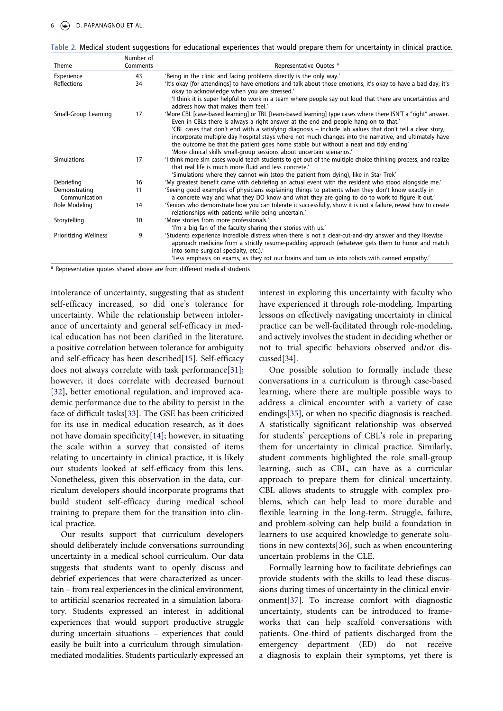<span id="page-7-0"></span>

| Table 2. Medical student suggestions for educational experiences that would prepare them for uncertainty in clinical practice. |  |  |  |  |
|--------------------------------------------------------------------------------------------------------------------------------|--|--|--|--|
|--------------------------------------------------------------------------------------------------------------------------------|--|--|--|--|

|                                | Number of |                                                                                                                                                                                                                                                                                                                                                                                       |
|--------------------------------|-----------|---------------------------------------------------------------------------------------------------------------------------------------------------------------------------------------------------------------------------------------------------------------------------------------------------------------------------------------------------------------------------------------|
| Theme                          | Comments  | Representative Quotes *                                                                                                                                                                                                                                                                                                                                                               |
| Experience                     | 43        | 'Being in the clinic and facing problems directly is the only way.'                                                                                                                                                                                                                                                                                                                   |
| Reflections                    | 34        | 'It's okay [for attendings] to have emotions and talk about those emotions, it's okay to have a bad day, it's<br>okay to acknowledge when you are stressed.'                                                                                                                                                                                                                          |
|                                |           | I think it is super helpful to work in a team where people say out loud that there are uncertainties and<br>address how that makes them feel.'                                                                                                                                                                                                                                        |
| Small-Group Learning           | 17        | 'More CBL [case-based learning] or TBL [team-based learning] type cases where there ISN'T a "right" answer.<br>Even in CBLs there is always a right answer at the end and people hang on to that.                                                                                                                                                                                     |
|                                |           | 'CBL cases that don't end with a satisfying diagnosis – include lab values that don't tell a clear story,<br>incorporate multiple day hospital stays where not much changes into the narrative, and ultimately have<br>the outcome be that the patient goes home stable but without a neat and tidy ending'<br>'More clinical skills small-group sessions about uncertain scenarios.' |
| <b>Simulations</b>             | 17        | I think more sim cases would teach students to get out of the multiple choice thinking process, and realize<br>that real life is much more fluid and less concrete.                                                                                                                                                                                                                   |
|                                |           | 'Simulations where they cannot win (stop the patient from dying), like in Star Trek'                                                                                                                                                                                                                                                                                                  |
| Debriefing                     | 16        | 'My greatest benefit came with debriefing an actual event with the resident who stood alongside me.'                                                                                                                                                                                                                                                                                  |
| Demonstrating<br>Communication | 11        | 'Seeing good examples of physicians explaining things to patients when they don't know exactly in<br>a concrete way and what they DO know and what they are going to do to work to figure it out.                                                                                                                                                                                     |
| Role Modeling                  | 14        | 'Seniors who demonstrate how you can tolerate it successfully, show it is not a failure, reveal how to create<br>relationships with patients while being uncertain.                                                                                                                                                                                                                   |
| Storytelling                   | 10        | 'More stories from more professionals.'<br>'I'm a big fan of the faculty sharing their stories with us.'                                                                                                                                                                                                                                                                              |
| <b>Prioritizing Wellness</b>   | 9         | 'Students experience incredible distress when there is not a clear-cut-and-dry answer and they likewise<br>approach medicine from a strictly resume-padding approach (whatever gets them to honor and match<br>into some surgical specialty, etc.).'                                                                                                                                  |
|                                |           | 'Less emphasis on exams, as they rot our brains and turn us into robots with canned empathy.'                                                                                                                                                                                                                                                                                         |

\* Representative quotes shared above are from different medical students

<span id="page-7-3"></span><span id="page-7-2"></span><span id="page-7-1"></span>intolerance of uncertainty, suggesting that as student self-efficacy increased, so did one's tolerance for uncertainty. While the relationship between intolerance of uncertainty and general self-efficacy in medical education has not been clarified in the literature, a positive correlation between tolerance for ambiguity and self-efficacy has been described[\[15](#page-9-13)]. Self-efficacy does not always correlate with task performance[\[31\]](#page-10-3); however, it does correlate with decreased burnout [[32\]](#page-10-4), better emotional regulation, and improved academic performance due to the ability to persist in the face of difficult tasks[[33](#page-10-5)]. The GSE has been criticized for its use in medical education research, as it does not have domain specificit[y\[14\]](#page-9-12); however, in situating the scale within a survey that consisted of items relating to uncertainty in clinical practice, it is likely our students looked at self-efficacy from this lens. Nonetheless, given this observation in the data, curriculum developers should incorporate programs that build student self-efficacy during medical school training to prepare them for the transition into clinical practice.

Our results support that curriculum developers should deliberately include conversations surrounding uncertainty in a medical school curriculum. Our data suggests that students want to openly discuss and debrief experiences that were characterized as uncertain – from real experiences in the clinical environment, to artificial scenarios recreated in a simulation laboratory. Students expressed an interest in additional experiences that would support productive struggle during uncertain situations – experiences that could easily be built into a curriculum through simulationmediated modalities. Students particularly expressed an

interest in exploring this uncertainty with faculty who have experienced it through role-modeling. Imparting lessons on effectively navigating uncertainty in clinical practice can be well-facilitated through role-modeling, and actively involves the student in deciding whether or not to trial specific behaviors observed and/or discussed[\[34](#page-10-6)].

<span id="page-7-5"></span><span id="page-7-4"></span>One possible solution to formally include these conversations in a curriculum is through case-based learning, where there are multiple possible ways to address a clinical encounter with a variety of case endings[\[35](#page-10-7)], or when no specific diagnosis is reached. A statistically significant relationship was observed for students' perceptions of CBL's role in preparing them for uncertainty in clinical practice. Similarly, student comments highlighted the role small-group learning, such as CBL, can have as a curricular approach to prepare them for clinical uncertainty. CBL allows students to struggle with complex problems, which can help lead to more durable and flexible learning in the long-term. Struggle, failure, and problem-solving can help build a foundation in learners to use acquired knowledge to generate solutions in new contexts[[36\]](#page-10-8), such as when encountering uncertain problems in the CLE.

<span id="page-7-7"></span><span id="page-7-6"></span>Formally learning how to facilitate debriefings can provide students with the skills to lead these discussions during times of uncertainty in the clinical environment[\[37](#page-10-9)]. To increase comfort with diagnostic uncertainty, students can be introduced to frameworks that can help scaffold conversations with patients. One-third of patients discharged from the emergency department (ED) do not receive a diagnosis to explain their symptoms, yet there is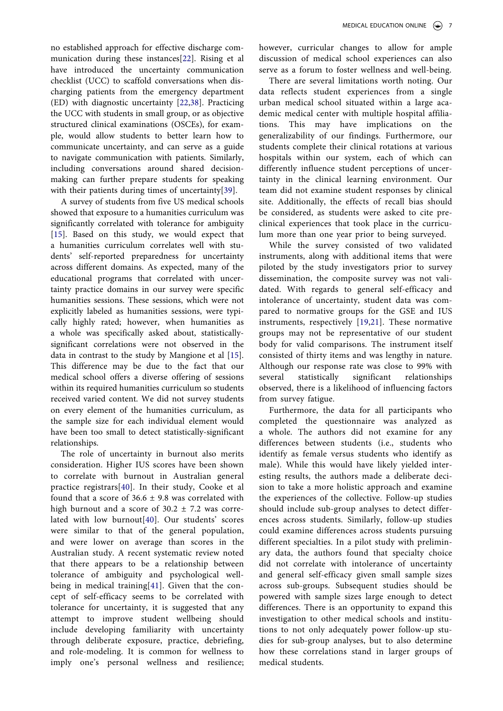<span id="page-8-0"></span>no established approach for effective discharge communication during these instances[\[22](#page-9-20)]. Rising et al have introduced the uncertainty communication checklist (UCC) to scaffold conversations when discharging patients from the emergency department (ED) with diagnostic uncertainty [[22](#page-9-20)[,38](#page-10-10)]. Practicing the UCC with students in small group, or as objective structured clinical examinations (OSCEs), for example, would allow students to better learn how to communicate uncertainty, and can serve as a guide to navigate communication with patients. Similarly, including conversations around shared decisionmaking can further prepare students for speaking with their patients during times of uncertainty[\[39](#page-10-11)].

<span id="page-8-1"></span>A survey of students from five US medical schools showed that exposure to a humanities curriculum was significantly correlated with tolerance for ambiguity [[15\]](#page-9-13). Based on this study, we would expect that a humanities curriculum correlates well with students' self-reported preparedness for uncertainty across different domains. As expected, many of the educational programs that correlated with uncertainty practice domains in our survey were specific humanities sessions. These sessions, which were not explicitly labeled as humanities sessions, were typically highly rated; however, when humanities as a whole was specifically asked about, statisticallysignificant correlations were not observed in the data in contrast to the study by Mangione et al [[15\]](#page-9-13). This difference may be due to the fact that our medical school offers a diverse offering of sessions within its required humanities curriculum so students received varied content. We did not survey students on every element of the humanities curriculum, as the sample size for each individual element would have been too small to detect statistically-significant relationships.

<span id="page-8-3"></span><span id="page-8-2"></span>The role of uncertainty in burnout also merits consideration. Higher IUS scores have been shown to correlate with burnout in Australian general practice registrars[\[40\]](#page-10-12). In their study, Cooke et al found that a score of  $36.6 \pm 9.8$  was correlated with high burnout and a score of  $30.2 \pm 7.2$  was correlated with low burnout[\[40](#page-10-12)]. Our students' scores were similar to that of the general population, and were lower on average than scores in the Australian study. A recent systematic review noted that there appears to be a relationship between tolerance of ambiguity and psychological wellbeing in medical training[\[41](#page-10-13)]. Given that the concept of self-efficacy seems to be correlated with tolerance for uncertainty, it is suggested that any attempt to improve student wellbeing should include developing familiarity with uncertainty through deliberate exposure, practice, debriefing, and role-modeling. It is common for wellness to imply one's personal wellness and resilience; however, curricular changes to allow for ample discussion of medical school experiences can also serve as a forum to foster wellness and well-being.

There are several limitations worth noting. Our data reflects student experiences from a single urban medical school situated within a large academic medical center with multiple hospital affiliations. This may have implications on the generalizability of our findings. Furthermore, our students complete their clinical rotations at various hospitals within our system, each of which can differently influence student perceptions of uncertainty in the clinical learning environment. Our team did not examine student responses by clinical site. Additionally, the effects of recall bias should be considered, as students were asked to cite preclinical experiences that took place in the curriculum more than one year prior to being surveyed.

While the survey consisted of two validated instruments, along with additional items that were piloted by the study investigators prior to survey dissemination, the composite survey was not validated. With regards to general self-efficacy and intolerance of uncertainty, student data was compared to normative groups for the GSE and IUS instruments, respectively [[19](#page-9-17),[21\]](#page-9-19). These normative groups may not be representative of our student body for valid comparisons. The instrument itself consisted of thirty items and was lengthy in nature. Although our response rate was close to 99% with several statistically significant relationships observed, there is a likelihood of influencing factors from survey fatigue.

Furthermore, the data for all participants who completed the questionnaire was analyzed as a whole. The authors did not examine for any differences between students (i.e., students who identify as female versus students who identify as male). While this would have likely yielded interesting results, the authors made a deliberate decision to take a more holistic approach and examine the experiences of the collective. Follow-up studies should include sub-group analyses to detect differences across students. Similarly, follow-up studies could examine differences across students pursuing different specialties. In a pilot study with preliminary data, the authors found that specialty choice did not correlate with intolerance of uncertainty and general self-efficacy given small sample sizes across sub-groups. Subsequent studies should be powered with sample sizes large enough to detect differences. There is an opportunity to expand this investigation to other medical schools and institutions to not only adequately power follow-up studies for sub-group analyses, but to also determine how these correlations stand in larger groups of medical students.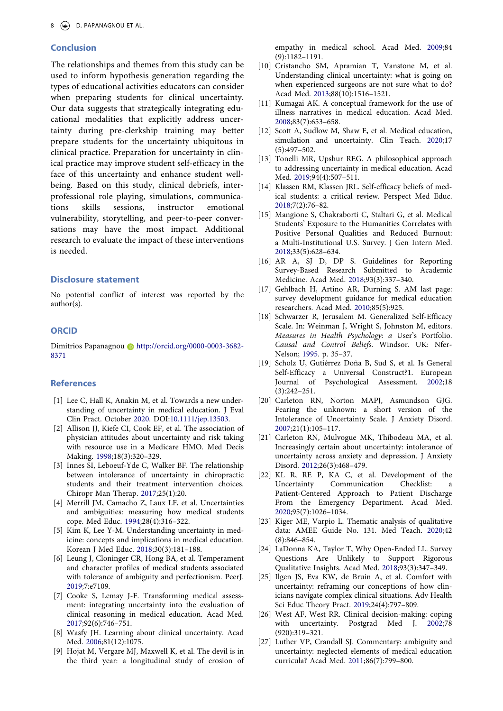## **Conclusion**

The relationships and themes from this study can be used to inform hypothesis generation regarding the types of educational activities educators can consider when preparing students for clinical uncertainty. Our data suggests that strategically integrating educational modalities that explicitly address uncertainty during pre-clerkship training may better prepare students for the uncertainty ubiquitous in clinical practice. Preparation for uncertainty in clinical practice may improve student self-efficacy in the face of this uncertainty and enhance student wellbeing. Based on this study, clinical debriefs, interprofessional role playing, simulations, communications skills sessions, instructor emotional vulnerability, storytelling, and peer-to-peer conversations may have the most impact. Additional research to evaluate the impact of these interventions is needed.

#### **Disclosure statement**

No potential conflict of interest was reported by the author(s).

#### **ORCID**

Dimitrios Papanagnou i http://orcid.org/0000-0003-3682-8371

## **References**

- <span id="page-9-0"></span>[1] Lee C, Hall K, Anakin M, et al. Towards a new understanding of uncertainty in medical education. J Eval Clin Pract. October [2020](#page-2-4). DOI:[10.1111/jep.13503](https://doi.org/10.1111/jep.13503).
- <span id="page-9-1"></span>[2] Allison JJ, Kiefe CI, Cook EF, et al. The association of physician attitudes about uncertainty and risk taking with resource use in a Medicare HMO. Med Decis Making. [1998](#page-2-5);18(3):320–329.
- <span id="page-9-2"></span>[3] Innes SI, Leboeuf-Yde C, Walker BF. The relationship between intolerance of uncertainty in chiropractic students and their treatment intervention choices. Chiropr Man Therap. [2017](#page-2-6);25(1):20.
- <span id="page-9-3"></span>[4] Merrill JM, Camacho Z, Laux LF, et al. Uncertainties and ambiguities: measuring how medical students cope. Med Educ. [1994;](#page-2-7)28(4):316–322.
- <span id="page-9-24"></span>[5] Kim K, Lee Y-M. Understanding uncertainty in medicine: concepts and implications in medical education. Korean J Med Educ. [2018](#page-6-1);30(3):181–188.
- <span id="page-9-7"></span>[6] Leung J, Cloninger CR, Hong BA, et al. Temperament and character profiles of medical students associated with tolerance of ambiguity and perfectionism. PeerJ. [2019](#page-3-0);7:e7109.
- <span id="page-9-4"></span>[7] Cooke S, Lemay J-F. Transforming medical assessment: integrating uncertainty into the evaluation of clinical reasoning in medical education. Acad Med. [2017](#page-3-1);92(6):746–751.
- <span id="page-9-5"></span>[8] Wasfy JH. Learning about clinical uncertainty. Acad Med. [2006](#page-3-2);81(12):1075.
- <span id="page-9-6"></span>[9] Hojat M, Vergare MJ, Maxwell K, et al. The devil is in the third year: a longitudinal study of erosion of

empathy in medical school. Acad Med. [2009;](#page-3-3)84 (9):1182–1191.

- <span id="page-9-8"></span>[10] Cristancho SM, Apramian T, Vanstone M, et al. Understanding clinical uncertainty: what is going on when experienced surgeons are not sure what to do? Acad Med. [2013;](#page-3-4)88(10):1516–1521.
- <span id="page-9-9"></span>[11] Kumagai AK. A conceptual framework for the use of illness narratives in medical education. Acad Med. [2008;](#page-3-5)83(7):653–658.
- <span id="page-9-10"></span>[12] Scott A, Sudlow M, Shaw E, et al. Medical education, simulation and uncertainty. Clin Teach. [2020;](#page-3-6)17 (5):497–502.
- <span id="page-9-11"></span>[13] Tonelli MR, Upshur REG. A philosophical approach to addressing uncertainty in medical education. Acad Med. [2019;](#page-3-7)94(4):507–511.
- <span id="page-9-12"></span>[14] Klassen RM, Klassen JRL. Self-efficacy beliefs of medical students: a critical review. Perspect Med Educ. [2018;](#page-3-8)7(2):76–82.
- <span id="page-9-13"></span>[15] Mangione S, Chakraborti C, Staltari G, et al. Medical Students' Exposure to the Humanities Correlates with Positive Personal Qualities and Reduced Burnout: a Multi-Institutional U.S. Survey. J Gen Intern Med. [2018;](#page-3-9)33(5):628–634.
- <span id="page-9-14"></span>[16] AR A, SJ D, DP S. Guidelines for Reporting Survey-Based Research Submitted to Academic Medicine. Acad Med. [2018;](#page-4-0)93(3):337–340.
- <span id="page-9-15"></span>[17] Gehlbach H, Artino AR, Durning S. AM last page: survey development guidance for medical education researchers. Acad Med. [2010;](#page-4-0)85(5):925.
- <span id="page-9-16"></span>[18] Schwarzer R, Jerusalem M. Generalized Self-Efficacy Scale. In: Weinman J, Wright S, Johnston M, editors. *Measures in Health Psychology: a* User's Portfolio. *Causal and Control Beliefs*. Windsor. UK: Nfer-Nelson; [1995](#page-4-1). p. 35–37.
- <span id="page-9-17"></span>[19] Scholz U, Gutiérrez Doña B, Sud S, et al. Is General Self-Efficacy a Universal Construct?1. European Journal of Psychological Assessment. [2002;](#page-4-2)18 (3):242–251.
- <span id="page-9-18"></span>[20] Carleton RN, Norton MAPJ, Asmundson GJG. Fearing the unknown: a short version of the Intolerance of Uncertainty Scale. J Anxiety Disord. [2007;](#page-4-3)21(1):105–117.
- <span id="page-9-19"></span>[21] Carleton RN, Mulvogue MK, Thibodeau MA, et al. Increasingly certain about uncertainty: intolerance of uncertainty across anxiety and depression. J Anxiety Disord. [2012;](#page-4-4)26(3):468–479.
- <span id="page-9-20"></span>[22] KL R, RE P, KA C, et al. Development of the Communication Checklist: a Patient-Centered Approach to Patient Discharge From the Emergency Department. Acad Med. [2020;](#page-4-5)95(7):1026–1034.
- <span id="page-9-21"></span>[23] Kiger ME, Varpio L. Thematic analysis of qualitative data: AMEE Guide No. 131. Med Teach. [2020;](#page-5-0)42 (8):846–854.
- <span id="page-9-22"></span>[24] LaDonna KA, Taylor T, Why Open-Ended LL. Survey Questions Are Unlikely to Support Rigorous Qualitative Insights. Acad Med. [2018;](#page-5-1)93(3):347–349.
- <span id="page-9-23"></span>[25] Ilgen JS, Eva KW, de Bruin A, et al. Comfort with uncertainty: reframing our conceptions of how clinicians navigate complex clinical situations. Adv Health Sci Educ Theory Pract. [2019;](#page-6-2)24(4):797–809.
- <span id="page-9-25"></span>[26] West AF, West RR. Clinical decision-making: coping with uncertainty. Postgrad Med J. [2002;](#page-6-1)78 (920):319–321.
- <span id="page-9-26"></span>[27] Luther VP, Crandall SJ. Commentary: ambiguity and uncertainty: neglected elements of medical education curricula? Acad Med. [2011;](#page-6-1)86(7):799–800.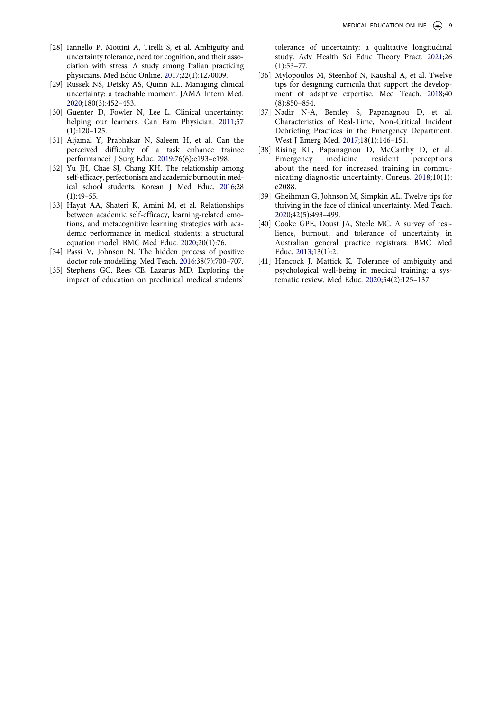- <span id="page-10-0"></span>[28] Iannello P, Mottini A, Tirelli S, et al. Ambiguity and uncertainty tolerance, need for cognition, and their association with stress. A study among Italian practicing physicians. Med Educ Online. [2017](#page-6-3);22(1):1270009.
- <span id="page-10-1"></span>[29] Russek NS, Detsky AS, Quinn KL. Managing clinical uncertainty: a teachable moment. JAMA Intern Med. [2020](#page-6-4);180(3):452–453.
- <span id="page-10-2"></span>[30] Guenter D, Fowler N, Lee L. Clinical uncertainty: helping our learners. Can Fam Physician. [2011](#page-6-4);57 (1):120–125.
- <span id="page-10-3"></span>[31] Aljamal Y, Prabhakar N, Saleem H, et al. Can the perceived difficulty of a task enhance trainee performance? J Surg Educ. [2019;](#page-7-1)76(6):e193–e198.
- <span id="page-10-4"></span>[32] Yu JH, Chae SJ, Chang KH. The relationship among self-efficacy, perfectionism and academic burnout in medical school students. Korean J Med Educ. [2016;](#page-7-2)28 (1):49–55.
- <span id="page-10-5"></span>[33] Hayat AA, Shateri K, Amini M, et al. Relationships between academic self-efficacy, learning-related emotions, and metacognitive learning strategies with academic performance in medical students: a structural equation model. BMC Med Educ. [2020](#page-7-3);20(1):76.
- <span id="page-10-6"></span>[34] Passi V, Johnson N. The hidden process of positive doctor role modelling. Med Teach. [2016;](#page-7-4)38(7):700–707.
- <span id="page-10-7"></span>[35] Stephens GC, Rees CE, Lazarus MD. Exploring the impact of education on preclinical medical students'

tolerance of uncertainty: a qualitative longitudinal study. Adv Health Sci Educ Theory Pract. [2021;](#page-7-5)26 (1):53–77.

- <span id="page-10-8"></span>[36] Mylopoulos M, Steenhof N, Kaushal A, et al. Twelve tips for designing curricula that support the development of adaptive expertise. Med Teach. [2018;](#page-7-6)40 (8):850–854.
- <span id="page-10-9"></span>[37] Nadir N-A, Bentley S, Papanagnou D, et al. Characteristics of Real-Time, Non-Critical Incident Debriefing Practices in the Emergency Department. West J Emerg Med. [2017](#page-7-7);18(1):146–151.
- <span id="page-10-10"></span>[38] Rising KL, Papanagnou D, McCarthy D, et al. Emergency medicine resident perceptions about the need for increased training in communicating diagnostic uncertainty. Cureus. [2018;](#page-8-0)10(1): e2088.
- <span id="page-10-11"></span>[39] Gheihman G, Johnson M, Simpkin AL. Twelve tips for thriving in the face of clinical uncertainty. Med Teach. [2020;](#page-8-1)42(5):493–499.
- <span id="page-10-12"></span>[40] Cooke GPE, Doust JA, Steele MC. A survey of resilience, burnout, and tolerance of uncertainty in Australian general practice registrars. BMC Med Educ. [2013;](#page-8-2)13(1):2.
- <span id="page-10-13"></span>[41] Hancock J, Mattick K. Tolerance of ambiguity and psychological well-being in medical training: a systematic review. Med Educ. [2020](#page-8-3);54(2):125–137.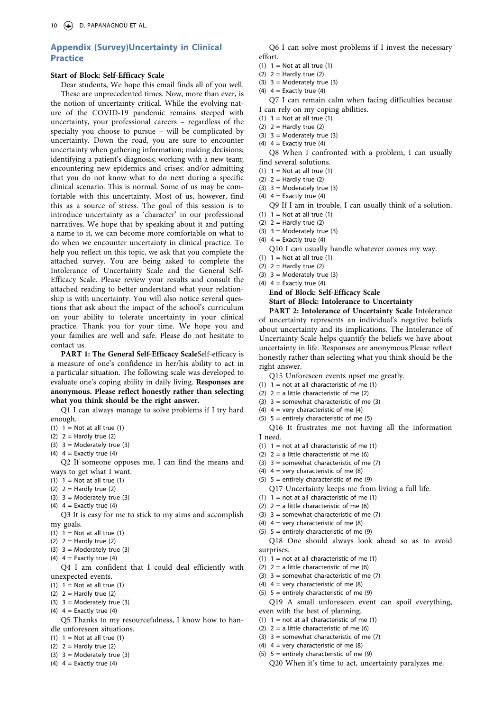## **Appendix (Survey)Uncertainty in Clinical Practice**

#### **Start of Block: Self-Efficacy Scale**

Dear students, We hope this email finds all of you well. These are unprecedented times. Now, more than ever, is the notion of uncertainty critical. While the evolving nature of the COVID-19 pandemic remains steeped with uncertainty, your professional careers – regardless of the specialty you choose to pursue – will be complicated by uncertainty. Down the road, you are sure to encounter uncertainty when gathering information; making decisions; identifying a patient's diagnosis; working with a new team; encountering new epidemics and crises; and/or admitting that you do not know what to do next during a specific clinical scenario. This is normal. Some of us may be comfortable with this uncertainty. Most of us, however, find this as a source of stress. The goal of this session is to introduce uncertainty as a 'character' in our professional narratives. We hope that by speaking about it and putting a name to it, we can become more comfortable on what to do when we encounter uncertainty in clinical practice. To help you reflect on this topic, we ask that you complete the attached survey. You are being asked to complete the Intolerance of Uncertainty Scale and the General Self-Efficacy Scale. Please review your results and consult the attached reading to better understand what your relationship is with uncertainty. You will also notice several questions that ask about the impact of the school's curriculum on your ability to tolerate uncertainty in your clinical practice. Thank you for your time. We hope you and your families are well and safe. Please do not hesitate to contact us.

PART 1: The General Self-Efficacy ScaleSelf-efficacy is a measure of one's confidence in her/his ability to act in a particular situation. The following scale was developed to evaluate one's coping ability in daily living. **Responses are anonymous. Please reflect honestly rather than selecting what you think should be the right answer.**

Q1 I can always manage to solve problems if I try hard enough.

- (1)  $1 = Not at all true (1)$
- (2)  $2 =$  Hardly true (2)
- (3)  $3 =$  Moderately true (3)
- (4)  $4 =$  Exactly true (4)

Q2 If someone opposes me, I can find the means and ways to get what I want.

- (1)  $1 = Not at all true (1)$
- $(2)$  2 = Hardly true  $(2)$
- (3)  $3 =$  Moderately true (3)
- (4)  $4 =$  Exactly true (4)

Q3 It is easy for me to stick to my aims and accomplish my goals.

- (1)  $1 =$  Not at all true (1)
- (2)  $2 =$  Hardly true (2)
- (3)  $3 =$  Moderately true (3)
- (4)  $4 =$  Exactly true (4)

Q4 I am confident that I could deal efficiently with unexpected events.

- (1)  $1 =$  Not at all true (1)
- (2)  $2 =$  Hardly true (2)
- (3)  $3 =$  Moderately true (3)
- (4)  $4 =$  Exactly true (4)

Q5 Thanks to my resourcefulness, I know how to handle unforeseen situations.

- (1)  $1 = Not at all true (1)$
- (2)  $2 =$  Hardly true (2)
- (3)  $3 =$  Moderately true (3)
- (4)  $4 =$  Exactly true (4)

Q6 I can solve most problems if I invest the necessary effort.

- (1)  $1 = Not at all true (1)$
- (2)  $2 =$  Hardly true (2)
- (3)  $3 =$  Moderately true (3)
- (4)  $4 =$  Exactly true (4)

Q7 I can remain calm when facing difficulties because I can rely on my coping abilities.

- (1)  $1 = Not at all true (1)$
- (2)  $2 =$  Hardly true (2)
- (3)  $3 =$  Moderately true (3)
- (4)  $4 =$  Exactly true (4)

Q8 When I confronted with a problem, I can usually find several solutions.

- (1)  $1 = Not at all true (1)$
- (2)  $2 =$  Hardly true (2)
- $(3)$  3 = Moderately true  $(3)$
- (4)  $4 =$  Exactly true (4)
- Q9 If I am in trouble, I can usually think of a solution.
- (1)  $1 = Not at all true (1)$
- (2)  $2 =$  Hardly true (2)
- (3)  $3 =$  Moderately true (3) (4)  $4 =$  Exactly true (4)
- Q10 I can usually handle whatever comes my way.
- (1)  $1 = Not at all true (1)$
- (2)  $2 =$  Hardly true (2)
- (3)  $3 =$  Moderately true (3)
- (4)  $4 =$  Exactly true (4) **End of Block: Self-Efficacy Scale Start of Block: Intolerance to Uncertainty**

PART 2: Intolerance of Uncertainty Scale Intolerance of uncertainty represents an individual's negative beliefs about uncertainty and its implications. The Intolerance of Uncertainty Scale helps quantify the beliefs we have about uncertainty in life. Responses are anonymous.Please reflect honestly rather than selecting what you think should be the right answer.

- Q15 Unforeseen events upset me greatly.
- (1)  $1 = not at all characteristic of me (1)$
- (2)  $2 = a$  little characteristic of me (2)
- (3)  $3 =$  somewhat characteristic of me (3)
- (4)  $4 = \text{very characteristic of me (4)}$
- (5)  $5 =$  entirely characteristic of me (5)

Q16 It frustrates me not having all the information I need.

- (1)  $1 = not at all characteristic of me (1)$
- (2)  $2 = a$  little characteristic of me (6)
- (3)  $3 =$  somewhat characteristic of me (7)
- (4)  $4 = \text{very characteristic of me (8)}$
- (5)  $5 =$  entirely characteristic of me (9)
	- Q17 Uncertainty keeps me from living a full life.
- (1)  $1 = not at all characteristic of me (1)$
- (2)  $2 = a$  little characteristic of me (6)
- (3)  $3 =$  somewhat characteristic of me (7)
- (4)  $4 = \text{very characteristic of me (8)}$ (5)  $5 =$  entirely characteristic of me (9)
- Q18 One should always look ahead so as to avoid surprises.
- (1)  $1 = not at all characteristic of me (1)$
- (2)  $2 = a$  little characteristic of me (6)
- (3)  $3 =$  somewhat characteristic of me (7)
- (4)  $4 =$  very characteristic of me (8)
- (5)  $5 =$  entirely characteristic of me (9)
- Q19 A small unforeseen event can spoil everything, even with the best of planning.
- (1)  $1 = not at all characteristic of me (1)$
- (2)  $2 = a$  little characteristic of me (6)
- (3)  $3 =$  somewhat characteristic of me (7)
- (4)  $4 = \text{very characteristic of me (8)}$
- (5)  $5 =$  entirely characteristic of me (9)
	- Q20 When it's time to act, uncertainty paralyzes me.